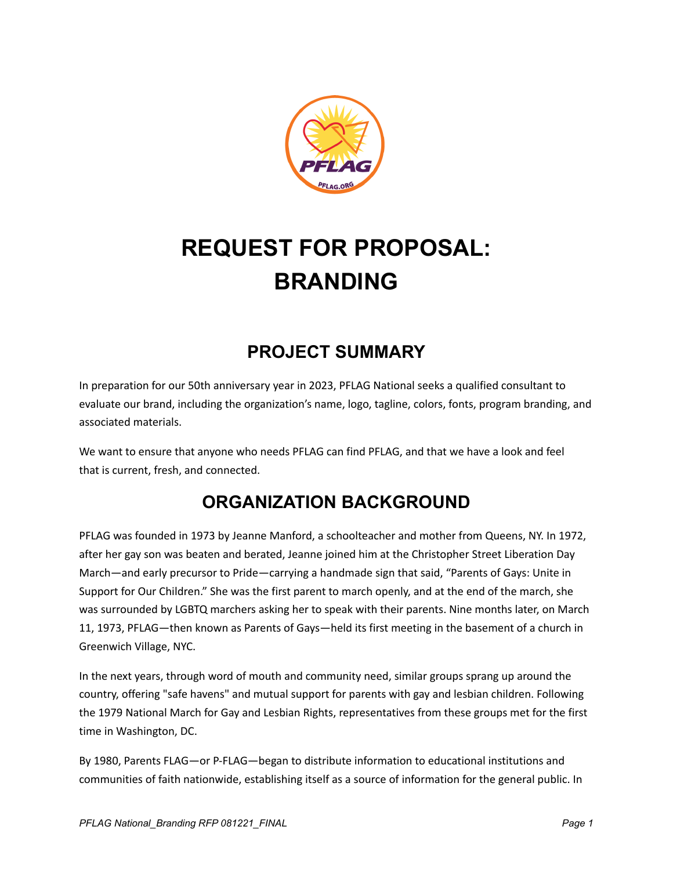

# **REQUEST FOR PROPOSAL: BRANDING**

# **PROJECT SUMMARY**

In preparation for our 50th anniversary year in 2023, PFLAG National seeks a qualified consultant to evaluate our brand, including the organization's name, logo, tagline, colors, fonts, program branding, and associated materials.

We want to ensure that anyone who needs PFLAG can find PFLAG, and that we have a look and feel that is current, fresh, and connected.

# **ORGANIZATION BACKGROUND**

PFLAG was founded in 1973 by Jeanne Manford, a schoolteacher and mother from Queens, NY. In 1972, after her gay son was beaten and berated, Jeanne joined him at the Christopher Street Liberation Day March—and early precursor to Pride—carrying a handmade sign that said, "Parents of Gays: Unite in Support for Our Children." She was the first parent to march openly, and at the end of the march, she was surrounded by LGBTQ marchers asking her to speak with their parents. Nine months later, on March 11, 1973, PFLAG—then known as Parents of Gays—held its first meeting in the basement of a church in Greenwich Village, NYC.

In the next years, through word of mouth and community need, similar groups sprang up around the country, offering "safe havens" and mutual support for parents with gay and lesbian children. Following the 1979 National March for Gay and Lesbian Rights, representatives from these groups met for the first time in Washington, DC.

By 1980, Parents FLAG—or P-FLAG—began to distribute information to educational institutions and communities of faith nationwide, establishing itself as a source of information for the general public. In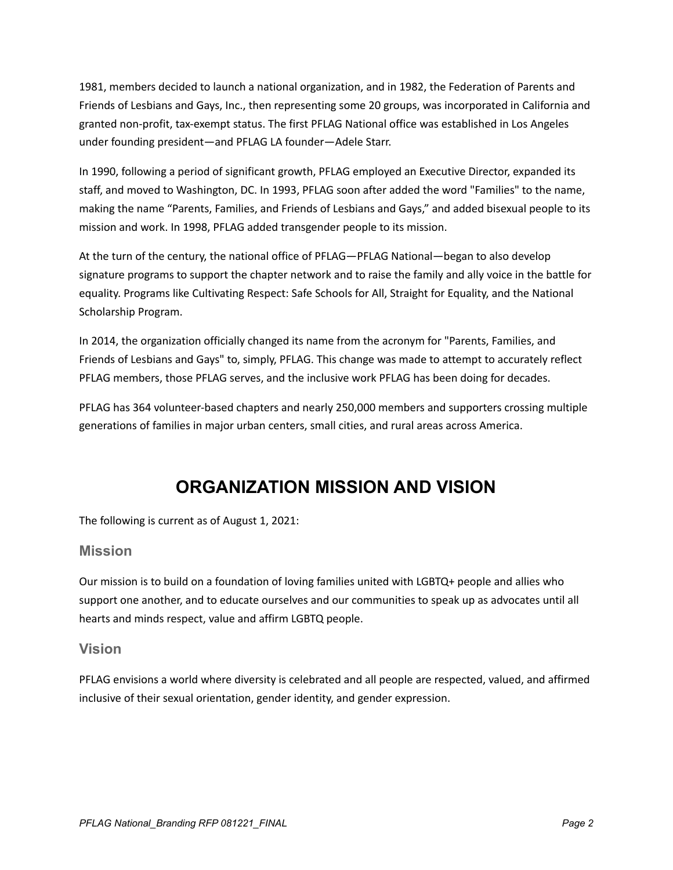1981, members decided to launch a national organization, and in 1982, the Federation of Parents and Friends of Lesbians and Gays, Inc., then representing some 20 groups, was incorporated in California and granted non-profit, tax-exempt status. The first PFLAG National office was established in Los Angeles under founding president—and PFLAG LA founder—Adele Starr.

In 1990, following a period of significant growth, PFLAG employed an Executive Director, expanded its staff, and moved to Washington, DC. In 1993, PFLAG soon after added the word "Families" to the name, making the name "Parents, Families, and Friends of Lesbians and Gays," and added bisexual people to its mission and work. In 1998, PFLAG added transgender people to its mission.

At the turn of the century, the national office of PFLAG—PFLAG National—began to also develop signature programs to support the chapter network and to raise the family and ally voice in the battle for equality. Programs like Cultivating Respect: Safe Schools for All, Straight for Equality, and the National Scholarship Program.

In 2014, the organization officially changed its name from the acronym for "Parents, Families, and Friends of Lesbians and Gays" to, simply, PFLAG. This change was made to attempt to accurately reflect PFLAG members, those PFLAG serves, and the inclusive work PFLAG has been doing for decades.

PFLAG has 364 volunteer-based chapters and nearly 250,000 members and supporters crossing multiple generations of families in major urban centers, small cities, and rural areas across America.

### **ORGANIZATION MISSION AND VISION**

The following is current as of August 1, 2021:

#### **Mission**

Our mission is to build on a foundation of loving families united with LGBTQ+ people and allies who support one another, and to educate ourselves and our communities to speak up as advocates until all hearts and minds respect, value and affirm LGBTQ people.

#### **Vision**

PFLAG envisions a world where diversity is celebrated and all people are respected, valued, and affirmed inclusive of their sexual orientation, gender identity, and gender expression.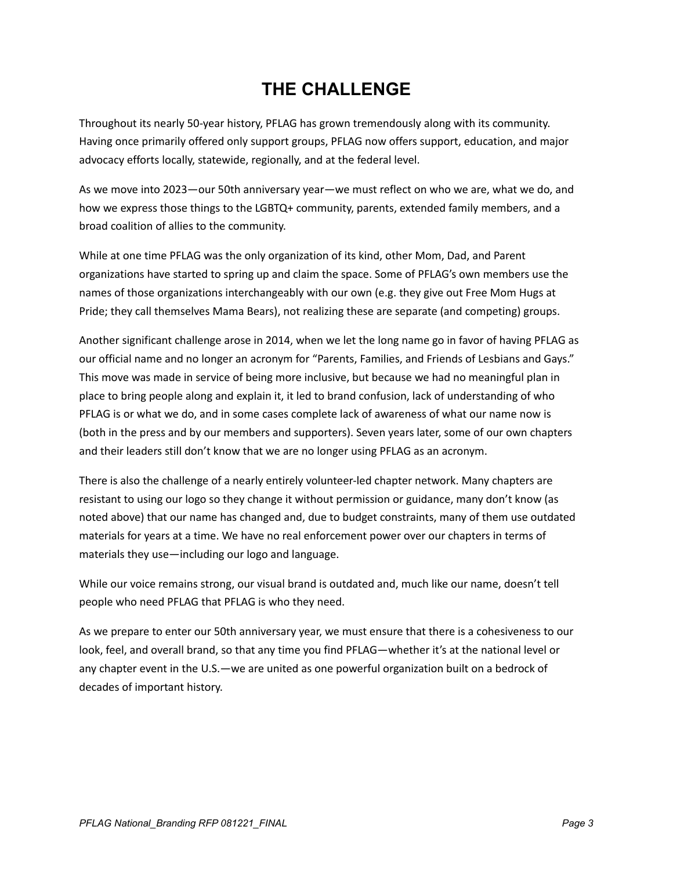### **THE CHALLENGE**

Throughout its nearly 50‐year history, PFLAG has grown tremendously along with its community. Having once primarily offered only support groups, PFLAG now offers support, education, and major advocacy efforts locally, statewide, regionally, and at the federal level.

As we move into 2023—our 50th anniversary year—we must reflect on who we are, what we do, and how we express those things to the LGBTQ+ community, parents, extended family members, and a broad coalition of allies to the community.

While at one time PFLAG was the only organization of its kind, other Mom, Dad, and Parent organizations have started to spring up and claim the space. Some of PFLAG's own members use the names of those organizations interchangeably with our own (e.g. they give out Free Mom Hugs at Pride; they call themselves Mama Bears), not realizing these are separate (and competing) groups.

Another significant challenge arose in 2014, when we let the long name go in favor of having PFLAG as our official name and no longer an acronym for "Parents, Families, and Friends of Lesbians and Gays." This move was made in service of being more inclusive, but because we had no meaningful plan in place to bring people along and explain it, it led to brand confusion, lack of understanding of who PFLAG is or what we do, and in some cases complete lack of awareness of what our name now is (both in the press and by our members and supporters). Seven years later, some of our own chapters and their leaders still don't know that we are no longer using PFLAG as an acronym.

There is also the challenge of a nearly entirely volunteer-led chapter network. Many chapters are resistant to using our logo so they change it without permission or guidance, many don't know (as noted above) that our name has changed and, due to budget constraints, many of them use outdated materials for years at a time. We have no real enforcement power over our chapters in terms of materials they use—including our logo and language.

While our voice remains strong, our visual brand is outdated and, much like our name, doesn't tell people who need PFLAG that PFLAG is who they need.

As we prepare to enter our 50th anniversary year, we must ensure that there is a cohesiveness to our look, feel, and overall brand, so that any time you find PFLAG—whether it's at the national level or any chapter event in the U.S.—we are united as one powerful organization built on a bedrock of decades of important history.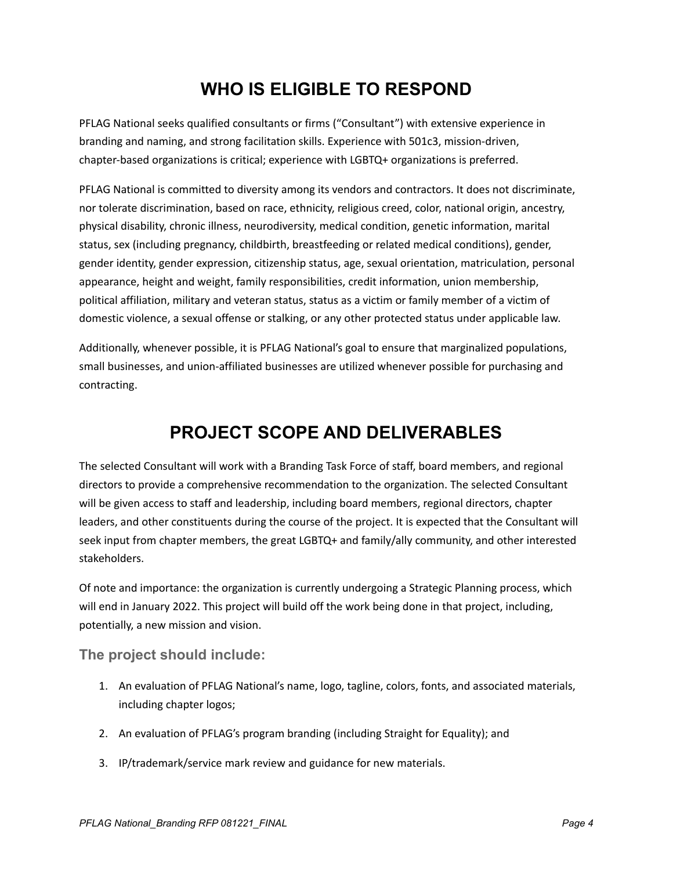### **WHO IS ELIGIBLE TO RESPOND**

PFLAG National seeks qualified consultants or firms ("Consultant") with extensive experience in branding and naming, and strong facilitation skills. Experience with 501c3, mission-driven, chapter-based organizations is critical; experience with LGBTQ+ organizations is preferred.

PFLAG National is committed to diversity among its vendors and contractors. It does not discriminate, nor tolerate discrimination, based on race, ethnicity, religious creed, color, national origin, ancestry, physical disability, chronic illness, neurodiversity, medical condition, genetic information, marital status, sex (including pregnancy, childbirth, breastfeeding or related medical conditions), gender, gender identity, gender expression, citizenship status, age, sexual orientation, matriculation, personal appearance, height and weight, family responsibilities, credit information, union membership, political affiliation, military and veteran status, status as a victim or family member of a victim of domestic violence, a sexual offense or stalking, or any other protected status under applicable law.

Additionally, whenever possible, it is PFLAG National's goal to ensure that marginalized populations, small businesses, and union-affiliated businesses are utilized whenever possible for purchasing and contracting.

### **PROJECT SCOPE AND DELIVERABLES**

The selected Consultant will work with a Branding Task Force of staff, board members, and regional directors to provide a comprehensive recommendation to the organization. The selected Consultant will be given access to staff and leadership, including board members, regional directors, chapter leaders, and other constituents during the course of the project. It is expected that the Consultant will seek input from chapter members, the great LGBTQ+ and family/ally community, and other interested stakeholders.

Of note and importance: the organization is currently undergoing a Strategic Planning process, which will end in January 2022. This project will build off the work being done in that project, including, potentially, a new mission and vision.

#### **The project should include:**

- 1. An evaluation of PFLAG National's name, logo, tagline, colors, fonts, and associated materials, including chapter logos;
- 2. An evaluation of PFLAG's program branding (including Straight for Equality); and
- 3. IP/trademark/service mark review and guidance for new materials.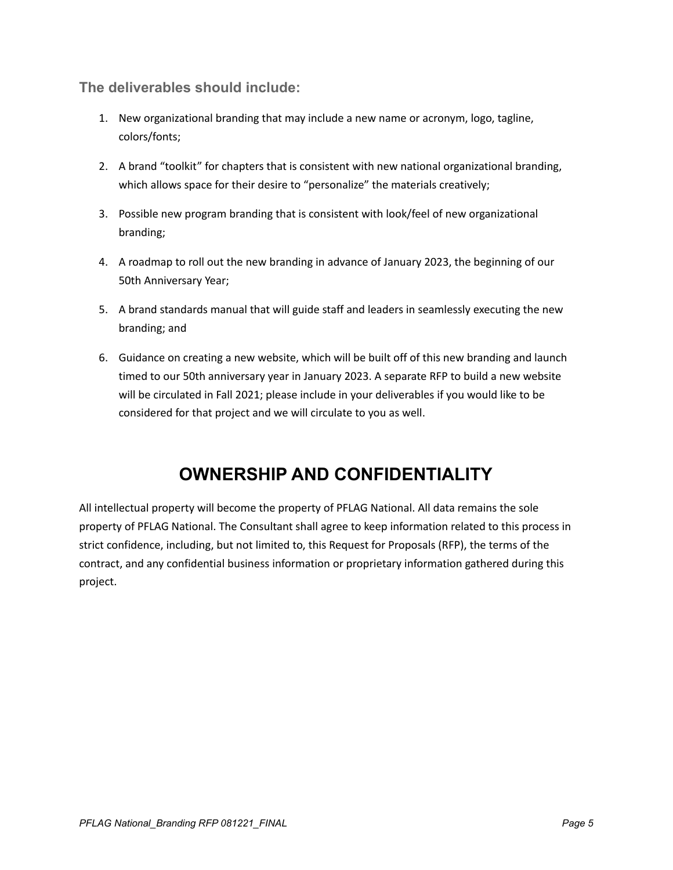**The deliverables should include:**

- 1. New organizational branding that may include a new name or acronym, logo, tagline, colors/fonts;
- 2. A brand "toolkit" for chapters that is consistent with new national organizational branding, which allows space for their desire to "personalize" the materials creatively;
- 3. Possible new program branding that is consistent with look/feel of new organizational branding;
- 4. A roadmap to roll out the new branding in advance of January 2023, the beginning of our 50th Anniversary Year;
- 5. A brand standards manual that will guide staff and leaders in seamlessly executing the new branding; and
- 6. Guidance on creating a new website, which will be built off of this new branding and launch timed to our 50th anniversary year in January 2023. A separate RFP to build a new website will be circulated in Fall 2021; please include in your deliverables if you would like to be considered for that project and we will circulate to you as well.

## **OWNERSHIP AND CONFIDENTIALITY**

All intellectual property will become the property of PFLAG National. All data remains the sole property of PFLAG National. The Consultant shall agree to keep information related to this process in strict confidence, including, but not limited to, this Request for Proposals (RFP), the terms of the contract, and any confidential business information or proprietary information gathered during this project.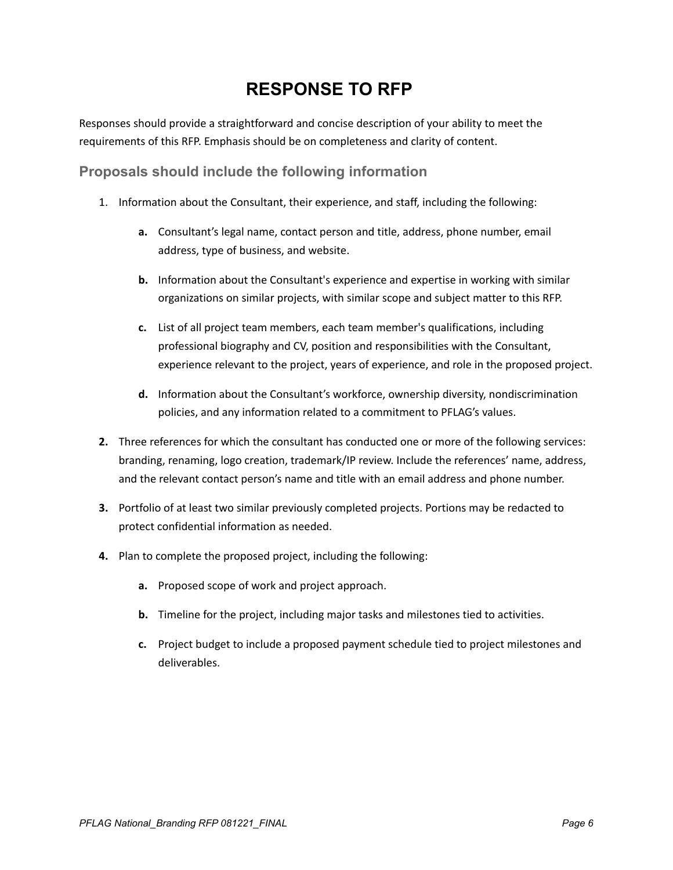### **RESPONSE TO RFP**

Responses should provide a straightforward and concise description of your ability to meet the requirements of this RFP. Emphasis should be on completeness and clarity of content.

**Proposals should include the following information**

- 1. Information about the Consultant, their experience, and staff, including the following:
	- **a.** Consultant's legal name, contact person and title, address, phone number, email address, type of business, and website.
	- **b.** Information about the Consultant's experience and expertise in working with similar organizations on similar projects, with similar scope and subject matter to this RFP.
	- **c.** List of all project team members, each team member's qualifications, including professional biography and CV, position and responsibilities with the Consultant, experience relevant to the project, years of experience, and role in the proposed project.
	- **d.** Information about the Consultant's workforce, ownership diversity, nondiscrimination policies, and any information related to a commitment to PFLAG's values.
- **2.** Three references for which the consultant has conducted one or more of the following services: branding, renaming, logo creation, trademark/IP review. Include the references' name, address, and the relevant contact person's name and title with an email address and phone number.
- **3.** Portfolio of at least two similar previously completed projects. Portions may be redacted to protect confidential information as needed.
- **4.** Plan to complete the proposed project, including the following:
	- **a.** Proposed scope of work and project approach.
	- **b.** Timeline for the project, including major tasks and milestones tied to activities.
	- **c.** Project budget to include a proposed payment schedule tied to project milestones and deliverables.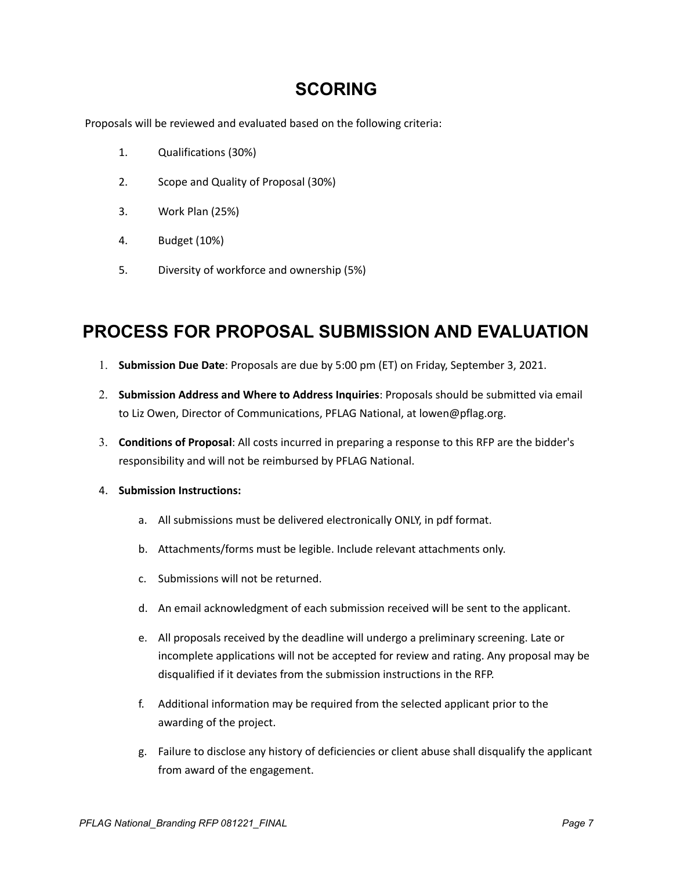#### **SCORING**

Proposals will be reviewed and evaluated based on the following criteria:

- 1. Qualifications (30%)
- 2. Scope and Quality of Proposal (30%)
- 3. Work Plan (25%)
- 4. Budget (10%)
- 5. Diversity of workforce and ownership (5%)

#### **PROCESS FOR PROPOSAL SUBMISSION AND EVALUATION**

- 1. **Submission Due Date**: Proposals are due by 5:00 pm (ET) on Friday, September 3, 2021.
- 2. **Submission Address and Where to Address Inquiries**: Proposals should be submitted via email to Liz Owen, Director of Communications, PFLAG National, at lowen@pflag.org.
- 3. **Conditions of Proposal**: All costs incurred in preparing a response to this RFP are the bidder's responsibility and will not be reimbursed by PFLAG National.
- 4. **Submission Instructions:**
	- a. All submissions must be delivered electronically ONLY, in pdf format.
	- b. Attachments/forms must be legible. Include relevant attachments only.
	- c. Submissions will not be returned.
	- d. An email acknowledgment of each submission received will be sent to the applicant.
	- e. All proposals received by the deadline will undergo a preliminary screening. Late or incomplete applications will not be accepted for review and rating. Any proposal may be disqualified if it deviates from the submission instructions in the RFP.
	- f. Additional information may be required from the selected applicant prior to the awarding of the project.
	- g. Failure to disclose any history of deficiencies or client abuse shall disqualify the applicant from award of the engagement.